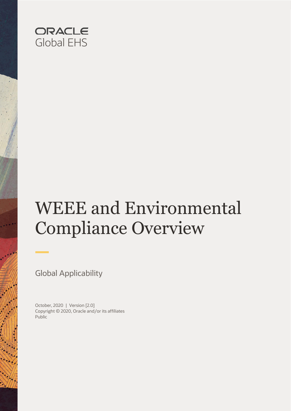

# WEEE and Environmental Compliance Overview

Global Applicability

October, 2020 | Version [2.0] Copyright © 2020, Oracle and/or its affiliates Public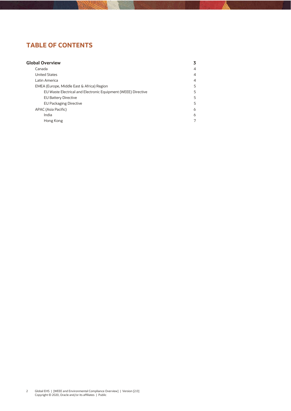# **TABLE OF CONTENTS**

| <b>Global Overview</b>                                        | 3 |
|---------------------------------------------------------------|---|
| Canada                                                        | 4 |
| <b>United States</b>                                          | 4 |
| Latin America                                                 | 4 |
| EMEA (Europe, Middle East & Africa) Region                    | 5 |
| EU Waste Electrical and Electronic Equipment (WEEE) Directive | 5 |
| <b>EU Battery Directive</b>                                   | 5 |
| <b>EU Packaging Directive</b>                                 | 5 |
| APAC (Asia Pacific)                                           | 6 |
| India                                                         | 6 |
| Hong Kong                                                     | 7 |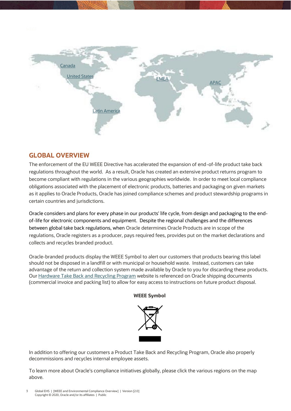<span id="page-2-1"></span>

# <span id="page-2-0"></span>**GLOBAL OVERVIEW**

The enforcement of the EU WEEE Directive has accelerated the expansion of end-of-life product take back regulations throughout the world. As a result, Oracle has created an extensive product returns program to become compliant with regulations in the various geographies worldwide. In order to meet local compliance obligations associated with the placement of electronic products, batteries and packaging on given markets as it applies to Oracle Products, Oracle has joined compliance schemes and product stewardship programs in certain countries and jurisdictions.

Oracle considers and plans for every phase in our products' life cycle, from design and packaging to the endof-life for electronic components and equipment. Despite the regional challenges and the differences between global take back regulations, when Oracle determines Oracle Products are in scope of the regulations, Oracle registers as a producer, pays required fees, provides put on the market declarations and collects and recycles branded product.

Oracle-branded products display the WEEE Symbol to alert our customers that products bearing this label should not be disposed in a landfill or with municipal or household waste. Instead, customers can take advantage of the return and collection system made available by Oracle to you for discarding these products. Our Hardware Take Back [and Recycling Program](https://www.oracle.com/it-infrastructure/take-back-and-recycling/index.html) website is referenced on Oracle shipping documents (commercial invoice and packing list) to allow for easy access to instructions on future product disposal.

#### **WEEE Symbol**



In addition to offering our customers a Product Take Back and Recycling Program, Oracle also properly decommissions and recycles internal employee assets.

To learn more about Oracle's compliance initiatives globally, please click the various regions on the map above.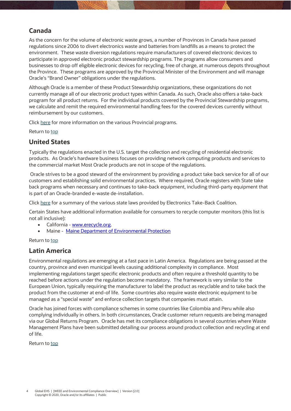# <span id="page-3-0"></span>**Canada**

As the concern for the volume of electronic waste grows, a number of Provinces in Canada have passed regulations since 2006 to divert electronics waste and batteries from landfills as a means to protect the environment. These waste diversion regulations require manufacturers of covered electronic devices to participate in approved electronic product stewardship programs. The programs allow consumers and businesses to drop off eligible electronic devices for recycling, free of charge, at numerous depots throughout the Province. These programs are approved by the Provincial Minister of the Environment and will manage Oracle's "Brand Owner" obligations under the regulations.

Although Oracle is a member of these Product Stewardship organizations, these organizations do not currently manage all of our electronic product types within Canada. As such, Oracle also offers a take-back program for all product returns. For the individual products covered by the Provincial Stewardship programs, we calculate and remit the required environmental handling fees for the covered devices currently without reimbursement by our customers.

Click [here](http://www.recyclemyelectronics.ca/) for more information on the various Provincial programs.

Return to [top](#page-2-1)

# <span id="page-3-1"></span>**United States**

Typically the regulations enacted in the U.S. target the collection and recycling of residential electronic products. As Oracle's hardware business focuses on providing network computing products and services to the commercial market Most Oracle products are not in scope of the regulations.

Oracle strives to be a good steward of the environment by providing a product take back service for all of our customers and establishing solid environmental practices. Where required, Oracle registers with State take back programs when necessary and continues to take-back equipment, including third-party equipment that is part of an Oracle-branded e-waste de-installation.

Click [here](http://www.electronicstakeback.com/promote-good-laws/state-legislation/) for a summary of the various state laws provided by Electronics Take-Back Coalition.

Certain States have additional information available for consumers to recycle computer monitors (this list is not all inclusive):

- California [www.erecycle.org.](http://www.erecycle.org/)
- Maine [Maine Department of Environmental Protection](http://www.maine.gov/dep/rwm/ewaste/index.htm)

Return to [top](#page-2-1)

# <span id="page-3-2"></span>**Latin America**

Environmental regulations are emerging at a fast pace in Latin America. Regulations are being passed at the country, province and even municipal levels causing additional complexity in compliance. Most implementing regulations target specific electronic products and often require a threshold quantity to be reached before actions under the regulation become mandatory. The framework is very similar to the European Union, typically requiring the manufacturer to label the product as recyclable and to take back the product from the customer at end-of life. Some countries also require waste electronic equipment to be managed as a "special waste" and enforce collection targets that companies must attain.

Oracle has joined forces with compliance schemes in some countries like Colombia and Peru while also complying individually in others. In both circumstances, Oracle customer return requests are being managed via our Global Returns Program. Oracle has met its compliance obligations in several countries where Waste Management Plans have been submitted detailing our process around product collection and recycling at end of life.

<span id="page-3-3"></span>Return to [top](#page-2-1)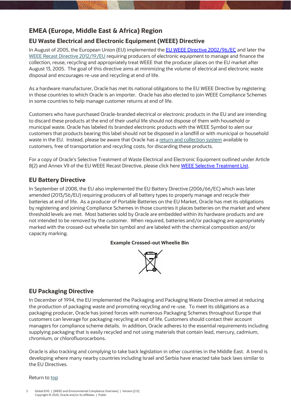# <span id="page-4-0"></span>**EMEA (Europe, Middle East & Africa) Region**

## <span id="page-4-1"></span>**EU Waste Electrical and Electronic Equipment (WEEE) Directive**

In August of 2005, th[e](http://eur-lex.europa.eu/LexUriServ/LexUriServ.do?uri=OJ:L:2012:197:0038:0071:en:PDF) European Union (EU) implemented the **EU WEEE Directive 2002/96/EC** and later the [WEEE Recast Directive 2012/19/EU](http://eur-lex.europa.eu/LexUriServ/LexUriServ.do?uri=OJ:L:2012:197:0038:0071:en:PDF) requiring producers of electronic equipment to manage and finance the collection, reuse, recycling and appropriately treat WEEE that the producer places on the EU market after August 13, 2005. The goal of this directive aims at minimizing the volume of electrical and electronic waste disposal and encourages re-use and recycling at end of life.

As a hardware manufacturer, Oracle has met its national obligations to the EU WEEE Directive by registering in those countries to which Oracle is an importer. Oracle has also elected to join WEEE Compliance Schemes in some countries to help manage customer returns at end of life.

Customers who have purchased Oracle-branded electrical or electronic products in the EU and are intending to discard these products at the end of their useful life should not dispose of them with household or municipal waste. Oracle has labeled its branded electronic products with the WEEE Symbol to alert our customers that products bearing this label should not be disposed in a landfill or with municipal or household waste in the EU. Instead, please be aware that Oracle has [a return and collection system](https://www.oracle.com/it-infrastructure/take-back-and-recycling/index.html) available to customers, free of transportation and recycling costs, for discarding these products.

For a copy of Oracle's Selective Treatment of Waste Electrical and Electronic Equipment outlined under Article 8(2) and Annex VII of the EU WEEE Recast Directive, please click here WEEE Selective Treatment List.

# <span id="page-4-2"></span>**EU Battery Directive**

In September of 2008, the EU also implemented the EU Battery Directive (2006/66/EC) which was later amended (2013/56/EU) requiring producers of all battery types to properly manage and recycle their batteries at end of life. As a producer of Portable Batteries on the EU Market, Oracle has met its obligations by registering and joining Compliance Schemes in those countries it places batteries on the market and where threshold levels are met. Most batteries sold by Oracle are embedded within its hardware products and are not intended to be removed by the customer. When required, batteries and/or packaging are appropriately marked with the crossed-out wheelie bin symbol and are labeled with the chemical composition and/or capacity marking.

#### **Example Crossed-out Wheelie Bin**



## <span id="page-4-3"></span>**EU Packaging Directive**

In December of 1994, the EU implemented the Packaging and Packaging Waste Directive aimed at reducing the production of packaging waste and promoting recycling and re-use. To meet its obligations as a packaging producer, Oracle has joined forces with numerous Packaging Schemes throughout Europe that customers can leverage for packaging recycling at end of life. Customers should contact their account managers for compliance scheme details. In addition, Oracle adheres to the essential requirements including supplying packaging that is easily recycled and not using materials that contain lead, mercury, cadmium, chromium, or chlorofluorocarbons.

Oracle is also tracking and complying to take back legislation in other countries in the Middle East. A trend is developing where many nearby countries including Israel and Serbia have enacted take back laws similar to the EU Directives.

#### Return to [top](#page-2-1)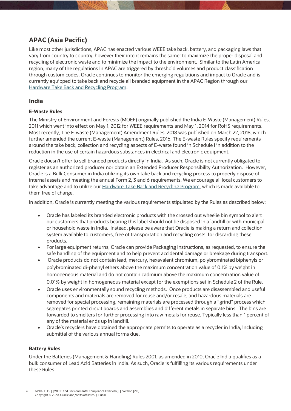# <span id="page-5-0"></span>**APAC (Asia Pacific)**

Like most other jurisdictions, APAC has enacted various WEEE take back, battery, and packaging laws that vary from country to country, however their intent remains the same: to maximize the proper disposal and recycling of electronic waste and to minimize the impact to the environment. Similar to the Latin America region, many of the regulations in APAC are triggered by threshold volumes and product classification through custom codes. Oracle continues to monitor the emerging regulations and impact to Oracle and is currently equipped to take back and recycle all branded equipment in the APAC Region through our [Hardware Take Back and Recycling Program.](https://www.oracle.com/it-infrastructure/take-back-and-recycling/index.html)

### <span id="page-5-1"></span>**India**

#### **E-Waste Rules**

The Ministry of Environment and Forests (MOEF) originally published the India E-Waste (Management) Rules, 2011 which went into effect on May 1, 2012 for WEEE requirements and May 1, 2014 for RoHS requirements. Most recently, The E-waste (Management) Amendment Rules, 2018 was published on March 22, 2018, which further amended the current E-waste (Management) Rules, 2016. The E-waste Rules specify requirements around the take back, collection and recycling aspects of E-waste found in Schedule I in addition to the reduction in the use of certain hazardous substances in electrical and electronic equipment.

Oracle doesn't offer to sell branded products directly in India. As such, Oracle is not currently obligated to register as an authorized producer nor obtain an Extended Producer Responsibility Authorization. However, Oracle is a Bulk Consumer in India utilizing its own take back and recycling process to properly dispose of internal assets and meeting the annual Form 2, 3 and 6 requirements. We encourage all local customers to take advantage and to utilize our [Hardware Take Back and Recycling Program,](https://www.oracle.com/it-infrastructure/take-back-and-recycling/index.html) which is made available to them free of charge.

In addition, Oracle is currently meeting the various requirements stipulated by the Rules as described below:

- Oracle has labeled its branded electronic products with the crossed out wheelie bin symbol to alert our customers that products bearing this label should not be disposed in a landfill or with municipal or household waste in India. Instead, please be aware that Oracle is making a return and collection system available to customers, free of transportation and recycling costs, for discarding these products.
- For large equipment returns, Oracle can provide Packaging Instructions, as requested, to ensure the safe handling of the equipment and to help prevent accidental damage or breakage during transport.
- Oracle products do not contain lead, mercury, hexavalent chromium, polybrominated biphenyls or polybrominated di-phenyl ethers above the maximum concentration value of 0.1% by weight in homogeneous material and do not contain cadmium above the maximum concentration value of 0.01% by weight in homogeneous material except for the exemptions set in Schedule 2 of the Rule.
- Oracle uses environmentally sound recycling methods. Once products are disassembled and useful components and materials are removed for reuse and/or resale, and hazardous materials are removed for special processing, remaining materials are processed through a "grind" process which segregates printed circuit boards and assemblies and different metals in separate bins. The bins are forwarded to smelters for further processing into raw metals for reuse. Typically less than 1 percent of any of the material ends up in landfill.
- Oracle's recyclers have obtained the appropriate permits to operate as a recycler in India, including submittal of the various annual forms due.

#### **Battery Rules**

Under the Batteries (Management & Handling) Rules 2001, as amended in 2010, Oracle India qualifies as a bulk consumer of Lead Acid Batteries in India. As such, Oracle is fulfilling its various requirements under these Rules.